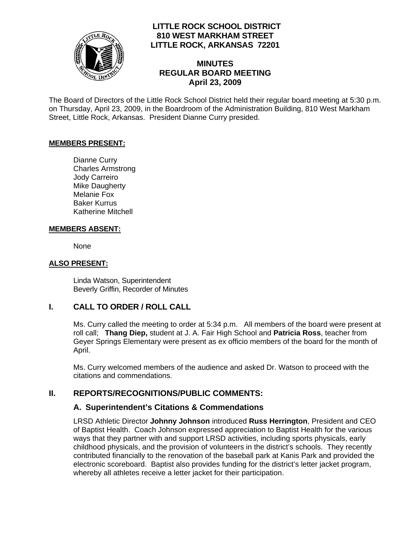

## **LITTLE ROCK SCHOOL DISTRICT 810 WEST MARKHAM STREET LITTLE ROCK, ARKANSAS 72201**

## **MINUTES REGULAR BOARD MEETING April 23, 2009**

The Board of Directors of the Little Rock School District held their regular board meeting at 5:30 p.m. on Thursday, April 23, 2009, in the Boardroom of the Administration Building, 810 West Markham Street, Little Rock, Arkansas. President Dianne Curry presided.

#### **MEMBERS PRESENT:**

Dianne Curry Charles Armstrong Jody Carreiro Mike Daugherty Melanie Fox Baker Kurrus Katherine Mitchell

#### **MEMBERS ABSENT:**

None

#### **ALSO PRESENT:**

 Linda Watson, Superintendent Beverly Griffin, Recorder of Minutes

## **I. CALL TO ORDER / ROLL CALL**

Ms. Curry called the meeting to order at 5:34 p.m. All members of the board were present at roll call; **Thang Diep,** student at J. A. Fair High School and **Patricia Ross**, teacher from Geyer Springs Elementary were present as ex officio members of the board for the month of April.

Ms. Curry welcomed members of the audience and asked Dr. Watson to proceed with the citations and commendations.

## **II. REPORTS/RECOGNITIONS/PUBLIC COMMENTS:**

## **A. Superintendent's Citations & Commendations**

LRSD Athletic Director **Johnny Johnson** introduced **Russ Herrington**, President and CEO of Baptist Health. Coach Johnson expressed appreciation to Baptist Health for the various ways that they partner with and support LRSD activities, including sports physicals, early childhood physicals, and the provision of volunteers in the district's schools. They recently contributed financially to the renovation of the baseball park at Kanis Park and provided the electronic scoreboard. Baptist also provides funding for the district's letter jacket program, whereby all athletes receive a letter jacket for their participation.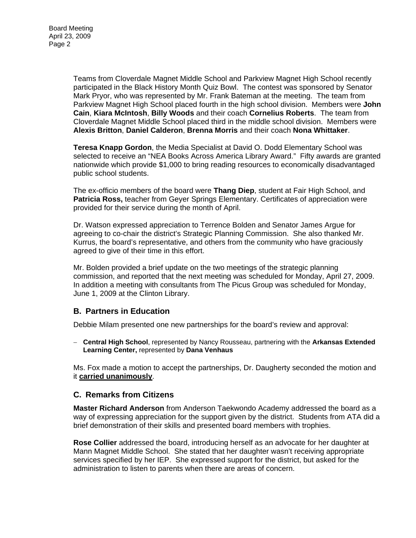Teams from Cloverdale Magnet Middle School and Parkview Magnet High School recently participated in the Black History Month Quiz Bowl. The contest was sponsored by Senator Mark Pryor, who was represented by Mr. Frank Bateman at the meeting. The team from Parkview Magnet High School placed fourth in the high school division. Members were **John Cain**, **Kiara McIntosh**, **Billy Woods** and their coach **Cornelius Roberts**. The team from Cloverdale Magnet Middle School placed third in the middle school division. Members were **Alexis Britton**, **Daniel Calderon**, **Brenna Morris** and their coach **Nona Whittaker**.

**Teresa Knapp Gordon**, the Media Specialist at David O. Dodd Elementary School was selected to receive an "NEA Books Across America Library Award." Fifty awards are granted nationwide which provide \$1,000 to bring reading resources to economically disadvantaged public school students.

The ex-officio members of the board were **Thang Diep**, student at Fair High School, and **Patricia Ross,** teacher from Geyer Springs Elementary. Certificates of appreciation were provided for their service during the month of April.

Dr. Watson expressed appreciation to Terrence Bolden and Senator James Argue for agreeing to co-chair the district's Strategic Planning Commission. She also thanked Mr. Kurrus, the board's representative, and others from the community who have graciously agreed to give of their time in this effort.

Mr. Bolden provided a brief update on the two meetings of the strategic planning commission, and reported that the next meeting was scheduled for Monday, April 27, 2009. In addition a meeting with consultants from The Picus Group was scheduled for Monday, June 1, 2009 at the Clinton Library.

## **B. Partners in Education**

Debbie Milam presented one new partnerships for the board's review and approval:

− **Central High School**, represented by Nancy Rousseau, partnering with the **Arkansas Extended Learning Center,** represented by **Dana Venhaus**

Ms. Fox made a motion to accept the partnerships, Dr. Daugherty seconded the motion and it **carried unanimously**.

#### **C. Remarks from Citizens**

**Master Richard Anderson** from Anderson Taekwondo Academy addressed the board as a way of expressing appreciation for the support given by the district. Students from ATA did a brief demonstration of their skills and presented board members with trophies.

**Rose Collier** addressed the board, introducing herself as an advocate for her daughter at Mann Magnet Middle School. She stated that her daughter wasn't receiving appropriate services specified by her IEP. She expressed support for the district, but asked for the administration to listen to parents when there are areas of concern.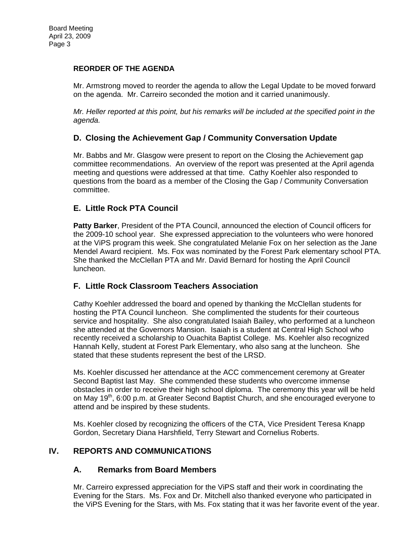#### **REORDER OF THE AGENDA**

Mr. Armstrong moved to reorder the agenda to allow the Legal Update to be moved forward on the agenda. Mr. Carreiro seconded the motion and it carried unanimously.

*Mr. Heller reported at this point, but his remarks will be included at the specified point in the agenda.* 

## **D. Closing the Achievement Gap / Community Conversation Update**

Mr. Babbs and Mr. Glasgow were present to report on the Closing the Achievement gap committee recommendations. An overview of the report was presented at the April agenda meeting and questions were addressed at that time. Cathy Koehler also responded to questions from the board as a member of the Closing the Gap / Community Conversation committee.

## **E. Little Rock PTA Council**

**Patty Barker**, President of the PTA Council, announced the election of Council officers for the 2009-10 school year. She expressed appreciation to the volunteers who were honored at the ViPS program this week. She congratulated Melanie Fox on her selection as the Jane Mendel Award recipient. Ms. Fox was nominated by the Forest Park elementary school PTA. She thanked the McClellan PTA and Mr. David Bernard for hosting the April Council luncheon.

## **F. Little Rock Classroom Teachers Association**

Cathy Koehler addressed the board and opened by thanking the McClellan students for hosting the PTA Council luncheon. She complimented the students for their courteous service and hospitality. She also congratulated Isaiah Bailey, who performed at a luncheon she attended at the Governors Mansion. Isaiah is a student at Central High School who recently received a scholarship to Ouachita Baptist College. Ms. Koehler also recognized Hannah Kelly, student at Forest Park Elementary, who also sang at the luncheon. She stated that these students represent the best of the LRSD.

Ms. Koehler discussed her attendance at the ACC commencement ceremony at Greater Second Baptist last May. She commended these students who overcome immense obstacles in order to receive their high school diploma. The ceremony this year will be held on May 19<sup>th</sup>, 6:00 p.m. at Greater Second Baptist Church, and she encouraged everyone to attend and be inspired by these students.

Ms. Koehler closed by recognizing the officers of the CTA, Vice President Teresa Knapp Gordon, Secretary Diana Harshfield, Terry Stewart and Cornelius Roberts.

## **IV. REPORTS AND COMMUNICATIONS**

## **A. Remarks from Board Members**

Mr. Carreiro expressed appreciation for the ViPS staff and their work in coordinating the Evening for the Stars. Ms. Fox and Dr. Mitchell also thanked everyone who participated in the ViPS Evening for the Stars, with Ms. Fox stating that it was her favorite event of the year.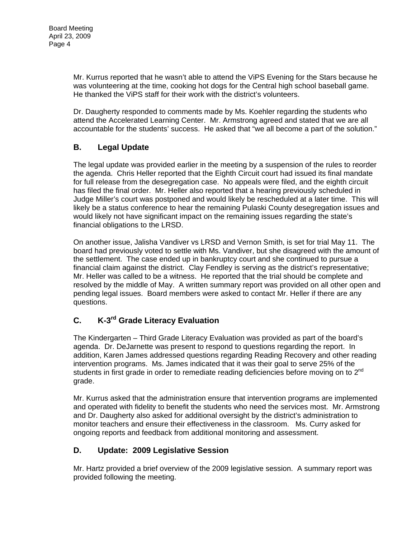Mr. Kurrus reported that he wasn't able to attend the ViPS Evening for the Stars because he was volunteering at the time, cooking hot dogs for the Central high school baseball game. He thanked the VIPS staff for their work with the district's volunteers.

Dr. Daugherty responded to comments made by Ms. Koehler regarding the students who attend the Accelerated Learning Center. Mr. Armstrong agreed and stated that we are all accountable for the students' success. He asked that "we all become a part of the solution."

# **B. Legal Update**

The legal update was provided earlier in the meeting by a suspension of the rules to reorder the agenda. Chris Heller reported that the Eighth Circuit court had issued its final mandate for full release from the desegregation case. No appeals were filed, and the eighth circuit has filed the final order. Mr. Heller also reported that a hearing previously scheduled in Judge Miller's court was postponed and would likely be rescheduled at a later time. This will likely be a status conference to hear the remaining Pulaski County desegregation issues and would likely not have significant impact on the remaining issues regarding the state's financial obligations to the LRSD.

On another issue, Jalisha Vandiver vs LRSD and Vernon Smith, is set for trial May 11. The board had previously voted to settle with Ms. Vandiver, but she disagreed with the amount of the settlement. The case ended up in bankruptcy court and she continued to pursue a financial claim against the district. Clay Fendley is serving as the district's representative; Mr. Heller was called to be a witness. He reported that the trial should be complete and resolved by the middle of May. A written summary report was provided on all other open and pending legal issues. Board members were asked to contact Mr. Heller if there are any questions.

# **C. K-3rd Grade Literacy Evaluation**

The Kindergarten – Third Grade Literacy Evaluation was provided as part of the board's agenda. Dr. DeJarnette was present to respond to questions regarding the report. In addition, Karen James addressed questions regarding Reading Recovery and other reading intervention programs. Ms. James indicated that it was their goal to serve 25% of the students in first grade in order to remediate reading deficiencies before moving on to  $2<sup>nd</sup>$ grade.

Mr. Kurrus asked that the administration ensure that intervention programs are implemented and operated with fidelity to benefit the students who need the services most. Mr. Armstrong and Dr. Daugherty also asked for additional oversight by the district's administration to monitor teachers and ensure their effectiveness in the classroom. Ms. Curry asked for ongoing reports and feedback from additional monitoring and assessment.

# **D. Update: 2009 Legislative Session**

Mr. Hartz provided a brief overview of the 2009 legislative session. A summary report was provided following the meeting.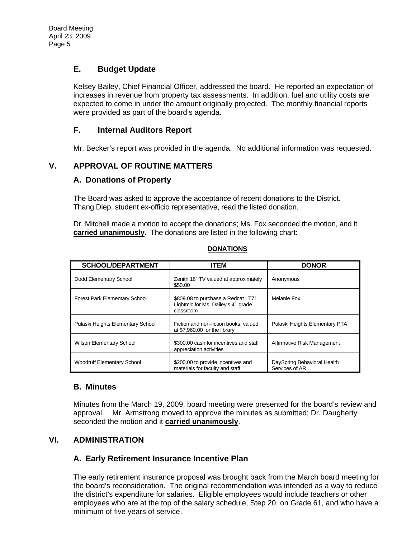## **E. Budget Update**

Kelsey Bailey, Chief Financial Officer, addressed the board. He reported an expectation of increases in revenue from property tax assessments. In addition, fuel and utility costs are expected to come in under the amount originally projected. The monthly financial reports were provided as part of the board's agenda.

## **F. Internal Auditors Report**

Mr. Becker's report was provided in the agenda. No additional information was requested.

## **V. APPROVAL OF ROUTINE MATTERS**

#### **A. Donations of Property**

The Board was asked to approve the acceptance of recent donations to the District. Thang Diep, student ex-officio representative, read the listed donation.

Dr. Mitchell made a motion to accept the donations; Ms. Fox seconded the motion, and it **carried unanimously.** The donations are listed in the following chart:

| <b>SCHOOL/DEPARTMENT</b>             | <b>ITEM</b>                                                                                        | <b>DONOR</b>                                  |  |
|--------------------------------------|----------------------------------------------------------------------------------------------------|-----------------------------------------------|--|
| Dodd Elementary School               | Zenith 16" TV valued at approximately<br>\$50.00                                                   | Anonymous                                     |  |
| <b>Forest Park Elementary School</b> | \$809.08 to purchase a Redcat LT71<br>Lightmic for Ms. Dailey's 4 <sup>th</sup> grade<br>classroom | Melanie Fox                                   |  |
| Pulaski Heights Elementary School    | Fiction and non-fiction books, valued<br>at \$7,960,00 for the library                             | Pulaski Heights Elementary PTA                |  |
| <b>Wilson Elementary School</b>      | \$300.00 cash for incentives and staff<br>appreciation activities                                  | Affirmative Risk Management                   |  |
| <b>Woodruff Elementary School</b>    | \$200.00 to provide incentives and<br>materials for faculty and staff                              | DaySpring Behavioral Health<br>Services of AR |  |

#### **DONATIONS**

## **B. Minutes**

Minutes from the March 19, 2009, board meeting were presented for the board's review and approval. Mr. Armstrong moved to approve the minutes as submitted; Dr. Daugherty seconded the motion and it **carried unanimously**.

# **VI. ADMINISTRATION**

## **A. Early Retirement Insurance Incentive Plan**

The early retirement insurance proposal was brought back from the March board meeting for the board's reconsideration. The original recommendation was intended as a way to reduce the district's expenditure for salaries. Eligible employees would include teachers or other employees who are at the top of the salary schedule, Step 20, on Grade 61, and who have a minimum of five years of service.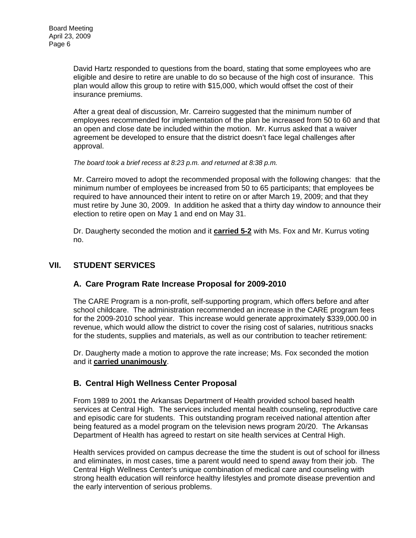David Hartz responded to questions from the board, stating that some employees who are eligible and desire to retire are unable to do so because of the high cost of insurance. This plan would allow this group to retire with \$15,000, which would offset the cost of their insurance premiums.

After a great deal of discussion, Mr. Carreiro suggested that the minimum number of employees recommended for implementation of the plan be increased from 50 to 60 and that an open and close date be included within the motion. Mr. Kurrus asked that a waiver agreement be developed to ensure that the district doesn't face legal challenges after approval.

*The board took a brief recess at 8:23 p.m. and returned at 8:38 p.m.* 

Mr. Carreiro moved to adopt the recommended proposal with the following changes: that the minimum number of employees be increased from 50 to 65 participants; that employees be required to have announced their intent to retire on or after March 19, 2009; and that they must retire by June 30, 2009. In addition he asked that a thirty day window to announce their election to retire open on May 1 and end on May 31.

Dr. Daugherty seconded the motion and it **carried 5-2** with Ms. Fox and Mr. Kurrus voting no.

#### **VII. STUDENT SERVICES**

## **A. Care Program Rate Increase Proposal for 2009-2010**

The CARE Program is a non-profit, self-supporting program, which offers before and after school childcare. The administration recommended an increase in the CARE program fees for the 2009-2010 school year. This increase would generate approximately \$339,000.00 in revenue, which would allow the district to cover the rising cost of salaries, nutritious snacks for the students, supplies and materials, as well as our contribution to teacher retirement:

Dr. Daugherty made a motion to approve the rate increase; Ms. Fox seconded the motion and it **carried unanimously**.

## **B. Central High Wellness Center Proposal**

From 1989 to 2001 the Arkansas Department of Health provided school based health services at Central High. The services included mental health counseling, reproductive care and episodic care for students. This outstanding program received national attention after being featured as a model program on the television news program 20/20. The Arkansas Department of Health has agreed to restart on site health services at Central High.

Health services provided on campus decrease the time the student is out of school for illness and eliminates, in most cases, time a parent would need to spend away from their job. The Central High Wellness Center's unique combination of medical care and counseling with strong health education will reinforce healthy lifestyles and promote disease prevention and the early intervention of serious problems.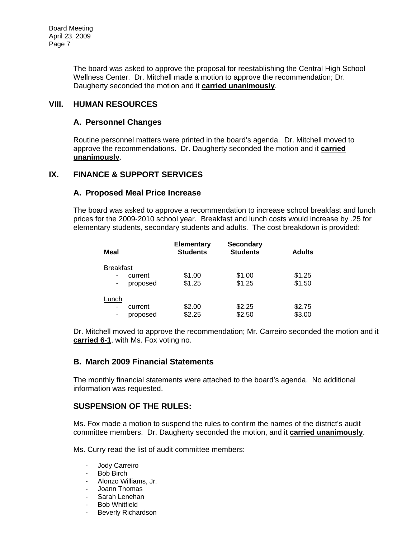The board was asked to approve the proposal for reestablishing the Central High School Wellness Center. Dr. Mitchell made a motion to approve the recommendation; Dr. Daugherty seconded the motion and it **carried unanimously**.

#### **VIII. HUMAN RESOURCES**

#### **A. Personnel Changes**

Routine personnel matters were printed in the board's agenda. Dr. Mitchell moved to approve the recommendations. Dr. Daugherty seconded the motion and it **carried unanimously**.

#### **IX. FINANCE & SUPPORT SERVICES**

#### **A. Proposed Meal Price Increase**

The board was asked to approve a recommendation to increase school breakfast and lunch prices for the 2009-2010 school year. Breakfast and lunch costs would increase by .25 for elementary students, secondary students and adults. The cost breakdown is provided:

| Meal                                                                     | <b>Elementary</b><br><b>Students</b> | <b>Secondary</b><br><b>Students</b> | <b>Adults</b>    |
|--------------------------------------------------------------------------|--------------------------------------|-------------------------------------|------------------|
| <b>Breakfast</b><br>current<br>$\overline{\phantom{a}}$<br>proposed<br>۰ | \$1.00<br>\$1.25                     | \$1.00<br>\$1.25                    | \$1.25<br>\$1.50 |
| Lunch<br>current<br>$\overline{\phantom{a}}$<br>proposed<br>-            | \$2.00<br>\$2.25                     | \$2.25<br>\$2.50                    | \$2.75<br>\$3.00 |

Dr. Mitchell moved to approve the recommendation; Mr. Carreiro seconded the motion and it **carried 6-1**, with Ms. Fox voting no.

#### **B. March 2009 Financial Statements**

The monthly financial statements were attached to the board's agenda. No additional information was requested.

## **SUSPENSION OF THE RULES:**

Ms. Fox made a motion to suspend the rules to confirm the names of the district's audit committee members. Dr. Daugherty seconded the motion, and it **carried unanimously**.

Ms. Curry read the list of audit committee members:

- Jody Carreiro
- Bob Birch
- Alonzo Williams, Jr.
- Joann Thomas
- Sarah Lenehan
- Bob Whitfield<br>- Beverly Richa
- Beverly Richardson